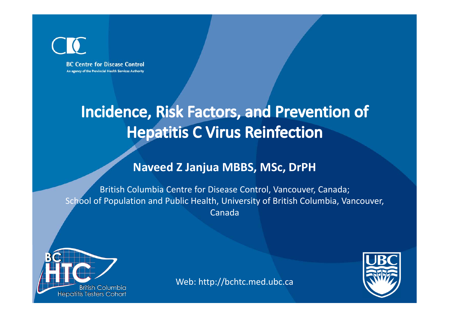**BC Centre for Disease Control** An agency of the Provincial Health Services Authority

### Incidence, Risk Factors, and Prevention of **Hepatitis C Virus Reinfection**

#### **Naveed Z Janjua MBBS, MSc, DrPH**

British Columbia Centre for Disease Control, Vancouver, Canada; School of Population and Public Health, University of British Columbia, Vancouver, Canada





Web: http://bchtc.med.ubc.ca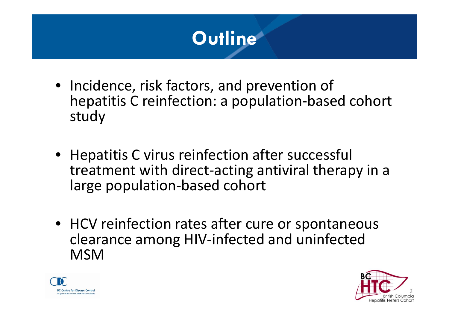

- Incidence, risk factors, and prevention of hepatitis C reinfection: <sup>a</sup> population‐based cohort study
- Hepatitis C virus reinfection after successful treatment with direct‐acting antiviral therapy in <sup>a</sup> large population‐based cohort
- HCV reinfection rates after cure or spontaneous clearance among HIV‐infected and uninfected MSM



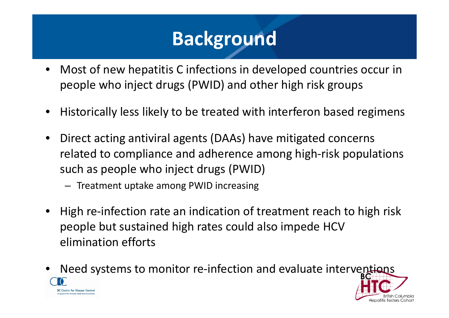# **Background**

- • Most of new hepatitis C infections in developed countries occur in people who inject drugs (PWID) and other high risk groups
- •Historically less likely to be treated with interferon based regimens
- $\bullet$  Direct acting antiviral agents (DAAs) have mitigated concerns related to compliance and adherence among high‐risk populations such as people who inject drugs (PWID)
	- Treatment uptake among PWID increasing
- $\bullet$ High re-infection rate an indication of treatment reach to high risk people but sustained high rates could also impede HCV elimination efforts
- Need systems to monitor re-infection and evaluate interventions •**BC Centre for Disease Control**

enatitis Testers Cohor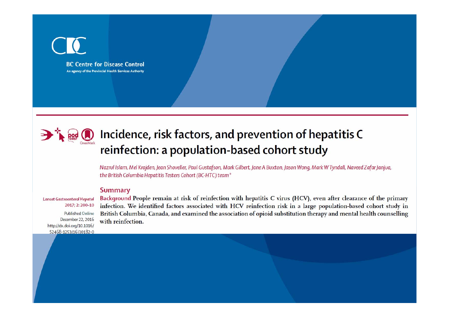



#### $\mathbb{R}$   $\mathbb{Q}$  Incidence, risk factors, and prevention of hepatitis C reinfection: a population-based cohort study

Nazrul Islam, Mel Krajden, Jean Shoveller, Paul Gustafson, Mark Gilbert, Jane A Buxton, Jason Wong, Mark W Tyndall, Naveed Zafar Janjua, the British Columbia Hepatitis Testers Cohort (BC-HTC) team\*

#### **Summary**

**Lancet Gastroenterol Hepatol** 2017; 2: 200-10

**Published Online** December 22, 2016 http://dx.doi.org/10.1016/ S2468-1253(16)30182-0

Background People remain at risk of reinfection with hepatitis C virus (HCV), even after clearance of the primary infection. We identified factors associated with HCV reinfection risk in a large population-based cohort study in British Columbia, Canada, and examined the association of opioid substitution therapy and mental health counselling with reinfection.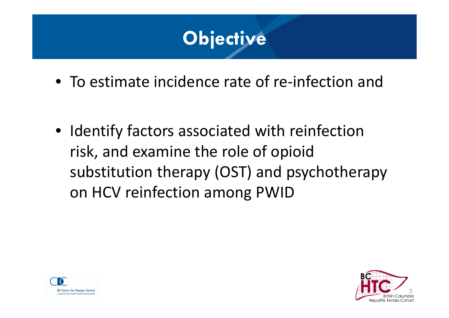

- To estimate incidence rate of re‐infection and
- Identify factors associated with reinfection risk, and examine the role of opioid substitution therapy (OST) and psychotherapy on HCV reinfection among PWID



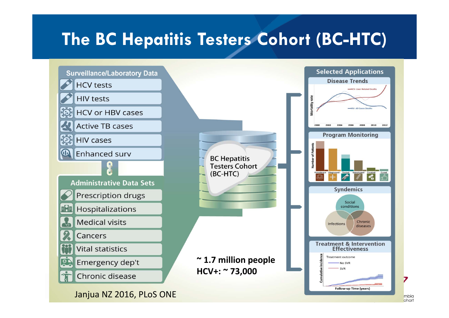### **The BC Hepatitis Testers Cohort (BC-HTC)**

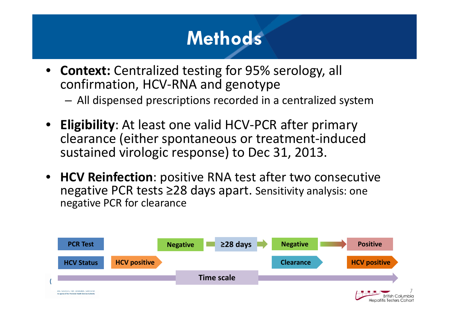# **Methods**

- • **Context:** Centralized testing for 95% serology, all confirmation, HCV‐RNA and genotype
	- –All dispensed prescriptions recorded in <sup>a</sup> centralized system
- **Eligibility**: At least one valid HCV‐PCR after primary clearance (either spontaneous or treatment‐induced sustained virologic response) to Dec 31, 2013.
- **HCV Reinfection**: positive RNA test after two consecutive negative PCR tests ≥28 days apart. Sensitivity analysis: one negative PCR for clearance

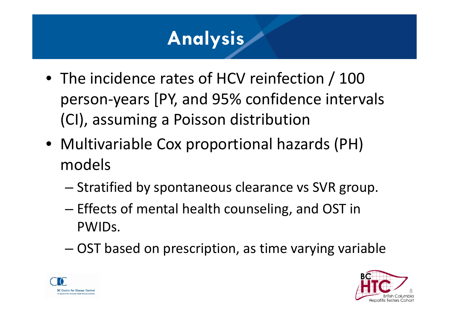# **Analysis**

- The incidence rates of HCV reinfection / 100 person‐years [PY, and 95% confidence intervals (CI), assuming <sup>a</sup> Poisson distribution
- Multivariable Cox proportional hazards (PH) models
	- – $-$  Stratified by spontaneous clearance vs SVR group.
	- – $-$  Effects of mental health counseling, and OST in PWIDs.
	- –OST based on prescription, as time varying variable



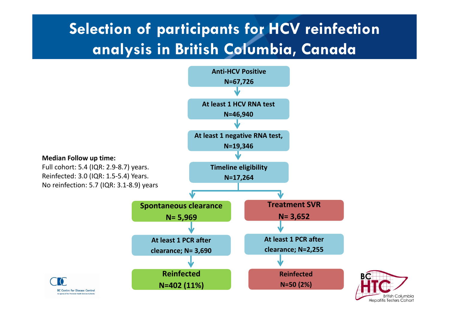### **Selection of participants for HCV reinfection analysis in British Columbia, Canada**

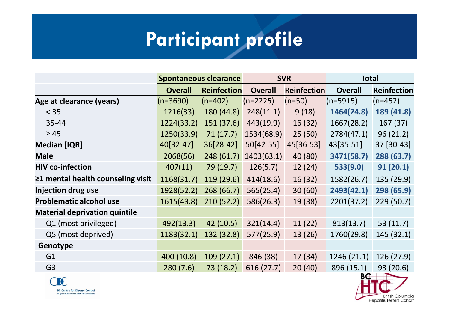# **Participant profile**

|                                         | <b>Spontaneous clearance</b> |                    | <b>SVR</b>     |                    | <b>Total</b>   |                    |
|-----------------------------------------|------------------------------|--------------------|----------------|--------------------|----------------|--------------------|
|                                         | <b>Overall</b>               | <b>Reinfection</b> | <b>Overall</b> | <b>Reinfection</b> | <b>Overall</b> | <b>Reinfection</b> |
| Age at clearance (years)                | $(n=3690)$                   | $(n=402)$          | $(n=2225)$     | $(n=50)$           | $(n=5915)$     | $(n=452)$          |
| $<$ 35                                  | 1216(33)                     | 180 (44.8)         | 248(11.1)      | 9(18)              | 1464(24.8)     | 189 (41.8)         |
| 35-44                                   | 1224(33.2)                   | 151 (37.6)         | 443(19.9)      | 16(32)             | 1667(28.2)     | 167(37)            |
| $\geq 45$                               | 1250(33.9)                   | 71(17.7)           | 1534(68.9)     | 25(50)             | 2784(47.1)     | 96(21.2)           |
| <b>Median [IQR]</b>                     | 40[32-47]                    | 36[28-42]          | 50[42-55]      | 45[36-53]          | 43[35-51]      | 37 [30-43]         |
| <b>Male</b>                             | 2068(56)                     | 248 (61.7)         | 1403(63.1)     | 40 (80)            | 3471(58.7)     | 288 (63.7)         |
| <b>HIV co-infection</b>                 | 407(11)                      | 79 (19.7)          | 126(5.7)       | 12(24)             | 533(9.0)       | 91(20.1)           |
| $\geq$ 1 mental health counseling visit | 1168(31.7)                   | 119 (29.6)         | 414(18.6)      | 16(32)             | 1582(26.7)     | 135 (29.9)         |
| Injection drug use                      | 1928(52.2)                   | 268 (66.7)         | 565(25.4)      | 30(60)             | 2493(42.1)     | 298 (65.9)         |
| <b>Problematic alcohol use</b>          | 1615(43.8)                   | 210(52.2)          | 586(26.3)      | 19 (38)            | 2201(37.2)     | 229(50.7)          |
| <b>Material deprivation quintile</b>    |                              |                    |                |                    |                |                    |
| Q1 (most privileged)                    | 492(13.3)                    | 42 (10.5)          | 321(14.4)      | 11(22)             | 813(13.7)      | 53 $(11.7)$        |
| Q5 (most deprived)                      | 1183(32.1)                   | 132 (32.8)         | 577(25.9)      | 13(26)             | 1760(29.8)     | 145 (32.1)         |
| Genotype                                |                              |                    |                |                    |                |                    |
| G <sub>1</sub>                          | 400 (10.8)                   | 109(27.1)          | 846 (38)       | 17(34)             | 1246 (21.1)    | 126(27.9)          |
| G <sub>3</sub>                          | 280(7.6)                     | 73 (18.2)          | 616 (27.7)     | 20(40)             | 896 (15.1)     | 93 (20.6)          |



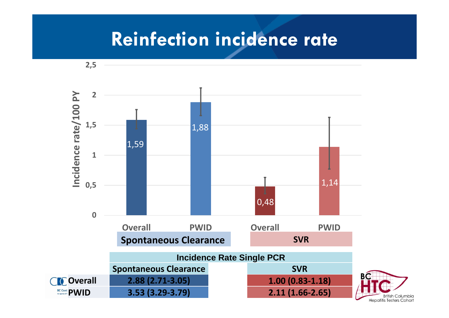### **Reinfection incidence rate**

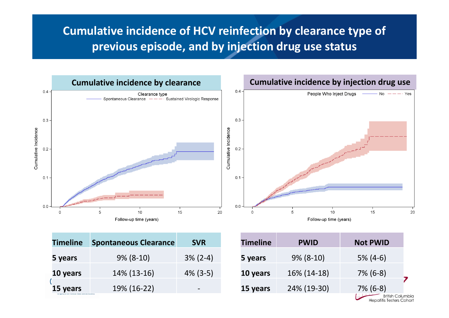#### **Cumulative incidence of HCV reinfection by clearance type of previous episode, and by injection drug use status**



| <b>Timeline</b> | <b>Spontaneous Clearance</b> | <b>SVR</b>  |
|-----------------|------------------------------|-------------|
| 5 years         | $9\%$ (8-10)                 | $3\%$ (2-4) |
| 10 years        | 14% (13-16)                  | $4\%$ (3-5) |
| 15 years        | 19% (16-22)                  |             |

| <b>Timeline</b> | <b>PWID</b>  | <b>Not PWID</b>                              |  |
|-----------------|--------------|----------------------------------------------|--|
| 5 years         | $9\%$ (8-10) | $5\%$ (4-6)                                  |  |
| 10 years        | 16% (14-18)  | $7\%$ (6-8)                                  |  |
| 15 years        | 24% (19-30)  | $7\%$ (6-8)                                  |  |
|                 |              | British Columbia<br>Hepatitis Testers Cohort |  |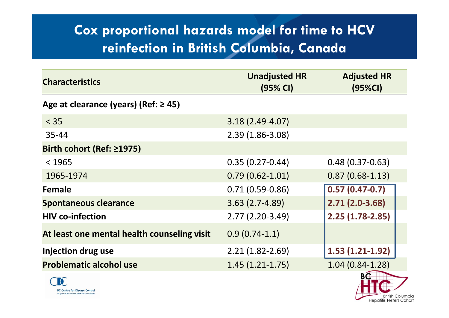### **Cox proportional hazards model for time to HCV reinfection in British Columbia, Canada**

| <b>Characteristics</b>                      | <b>Unadjusted HR</b><br>(95% CI) | <b>Adjusted HR</b><br>(95%CI) |
|---------------------------------------------|----------------------------------|-------------------------------|
| Age at clearance (years) (Ref: $\geq$ 45)   |                                  |                               |
| $< 35$                                      | $3.18(2.49-4.07)$                |                               |
| $35 - 44$                                   | $2.39(1.86 - 3.08)$              |                               |
| Birth cohort (Ref: ≥1975)                   |                                  |                               |
| < 1965                                      | $0.35(0.27-0.44)$                | $0.48(0.37-0.63)$             |
| 1965-1974                                   | $0.79(0.62 - 1.01)$              | $0.87(0.68-1.13)$             |
| Female                                      | $0.71(0.59-0.86)$                | $0.57(0.47-0.7)$              |
| <b>Spontaneous clearance</b>                | $3.63(2.7-4.89)$                 | $2.71(2.0-3.68)$              |
| <b>HIV co-infection</b>                     | $2.77(2.20-3.49)$                | $2.25(1.78-2.85)$             |
| At least one mental health counseling visit | $0.9(0.74-1.1)$                  |                               |
| <b>Injection drug use</b>                   | $2.21(1.82 - 2.69)$              | $1.53(1.21-1.92)$             |
| <b>Problematic alcohol use</b>              | $1.45(1.21-1.75)$                | $1.04(0.84-1.28)$             |



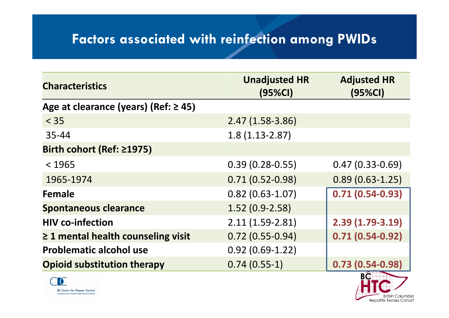### **Factors associated with reinfection among PWIDs**

| <b>Characteristics</b>                    | <b>Unadjusted HR</b><br>(95%CI) | <b>Adjusted HR</b><br>(95%CI) |
|-------------------------------------------|---------------------------------|-------------------------------|
| Age at clearance (years) (Ref: $\geq$ 45) |                                 |                               |
| $< 35$                                    | $2.47(1.58-3.86)$               |                               |
| $35 - 44$                                 | $1.8(1.13-2.87)$                |                               |
| Birth cohort (Ref: ≥1975)                 |                                 |                               |
| < 1965                                    | $0.39(0.28 - 0.55)$             | $0.47(0.33 - 0.69)$           |
| 1965-1974                                 | $0.71(0.52 - 0.98)$             | $0.89(0.63 - 1.25)$           |
| Female                                    | $0.82(0.63 - 1.07)$             | $0.71(0.54-0.93)$             |
| <b>Spontaneous clearance</b>              | $1.52(0.9-2.58)$                |                               |
| <b>HIV co-infection</b>                   | $2.11(1.59-2.81)$               | $2.39(1.79-3.19)$             |
| $\geq$ 1 mental health counseling visit   | $0.72(0.55-0.94)$               | $0.71(0.54-0.92)$             |
| <b>Problematic alcohol use</b>            | $0.92(0.69-1.22)$               |                               |
| <b>Opioid substitution therapy</b>        | $0.74(0.55-1)$                  | $0.73(0.54-0.98)$             |



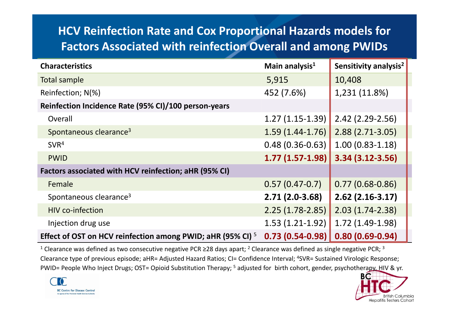### **HCV Reinfection Rate and Cox Proportional Hazards models for Factors Associated with reinfection Overall and among PWIDs**

| <b>Characteristics</b>                                                 | Main analysis <sup>1</sup> | Sensitivity analysis <sup>2</sup> |
|------------------------------------------------------------------------|----------------------------|-----------------------------------|
| <b>Total sample</b>                                                    | 5,915                      | 10,408                            |
| Reinfection; N(%)                                                      | 452 (7.6%)                 | 1,231 (11.8%)                     |
| Reinfection Incidence Rate (95% CI)/100 person-years                   |                            |                                   |
| Overall                                                                | $1.27(1.15-1.39)$          | $2.42$ (2.29-2.56)                |
| Spontaneous clearance <sup>3</sup>                                     | $1.59(1.44-1.76)$          | $2.88(2.71-3.05)$                 |
| SVR <sup>4</sup>                                                       | $0.48(0.36-0.63)$          | $1.00(0.83 - 1.18)$               |
| <b>PWID</b>                                                            | $1.77(1.57-1.98)$          | $3.34(3.12 - 3.56)$               |
| Factors associated with HCV reinfection; aHR (95% CI)                  |                            |                                   |
| Female                                                                 | $0.57(0.47-0.7)$           | $0.77(0.68-0.86)$                 |
| Spontaneous clearance <sup>3</sup>                                     | $2.71(2.0-3.68)$           | $2.62$ (2.16-3.17)                |
| <b>HIV co-infection</b>                                                | $2.25(1.78-2.85)$          | $2.03(1.74-2.38)$                 |
| Injection drug use                                                     | $1.53(1.21-1.92)$          | $1.72(1.49-1.98)$                 |
| Effect of OST on HCV reinfection among PWID; aHR (95% CI) <sup>5</sup> | $0.73(0.54-0.98)$          | $0.80(0.69 - 0.94)$               |

<sup>1</sup> Clearance was defined as two consecutive negative PCR ≥28 days apart; <sup>2</sup> Clearance was defined as single negative PCR; <sup>3</sup> Clearance type of previous episode; aHR= Adjusted Hazard Ratios; CI= Confidence Interval; <sup>4</sup>SVR= Sustained Virologic Response; PWID= People Who Inject Drugs; OST= Opioid Substitution Therapy; <sup>5</sup> adjusted for birth cohort, gender, psychotherapy, HIV & yr.



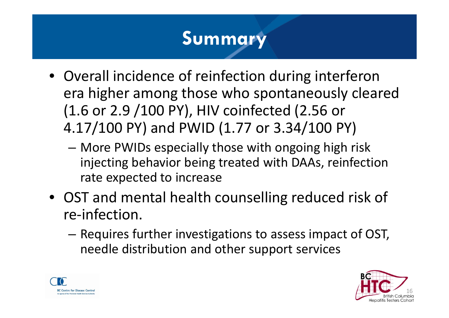# **Summary**

- Overall incidence of reinfection during interferon era higher among those who spontaneously cleared (1.6 or 2.9 /100 PY), HIV coinfected (2.56 or 4.17/100 PY) and PWID (1.77 or 3.34/100 PY)
	- More PWIDs especially those with ongoing high risk injecting behavior being treated with DAAs, reinfection rate expected to increase
- OST and mental health counselling reduced risk of re‐infection.
	- – $-$  Requires further investigations to assess impact of OST, needle distribution and other support services



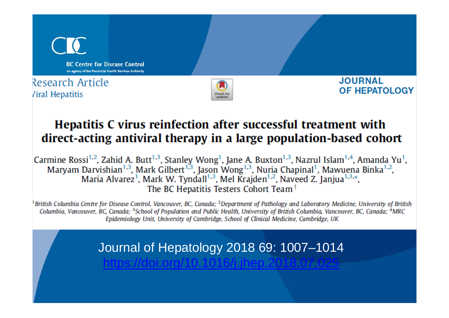

#### Hepatitis C virus reinfection after successful treatment with direct-acting antiviral therapy in a large population-based cohort

Carmine Rossi<sup>1,2</sup>, Zahid A. Butt<sup>1,3</sup>, Stanley Wong<sup>1</sup>, Jane A. Buxton<sup>1,3</sup>, Nazrul Islam<sup>1,4</sup>, Amanda Yu<sup>1</sup>, Maryam Darvishian<sup>1,3</sup>, Mark Gilbert<sup>1,3</sup>, Jason Wong<sup>1,3</sup>, Nuria Chapinal<sup>1</sup>, Mawuena Binka<sup>1,2</sup>,<br>Maria Alvarez<sup>1</sup>, Mark W. Tyndall<sup>1,3</sup>, Mel Krajden<sup>1,2</sup>, Naveed Z. Janjua<sup>1,3,\*</sup>, The BC Hepatitis Testers Cohort Team<sup>†</sup>

<sup>1</sup>British Columbia Centre for Disease Control, Vancouver, BC, Canada; <sup>2</sup>Department of Pathology and Laboratory Medicine, University of British Columbia, Vancouver, BC, Canada; <sup>3</sup>School of Population and Public Health, University of British Columbia, Vancouver, BC, Canada; <sup>4</sup>MRC Epidemiology Unit, University of Cambridge, School of Clinical Medicine, Cambridge, UK

Journal of Hepatology 2018 69: 1007–1014

https://doi.org/10.1016/j.jhep.2018.07.025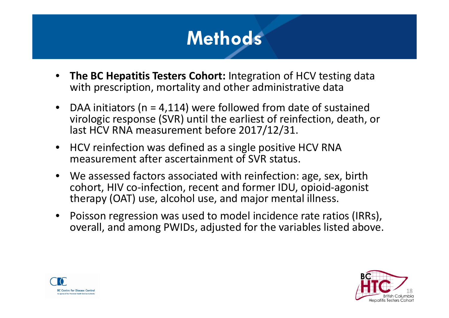

- $\bullet$  **The BC Hepatitis Testers Cohort:** Integration of HCV testing data with prescription, mortality and other administrative data
- $\bullet$  DAA initiators (n <sup>=</sup> 4,114) were followed from date of sustained virologic response (SVR) until the earliest of reinfection, death, or last HCV RNA measurement before 2017/12/31.
- HCV reinfection was defined as <sup>a</sup> single positive HCV RNA measurement after ascertainment of SVR status.
- We assessed factors associated with reinfection: age, sex, birth cohort, HIV co‐infection, recent and former IDU, opioid‐agonist therapy (OAT) use, alcohol use, and major mental illness.
- $\bullet$  Poisson regression was used to model incidence rate ratios (IRRs), overall, and among PWIDs, adjusted for the variables listed above.



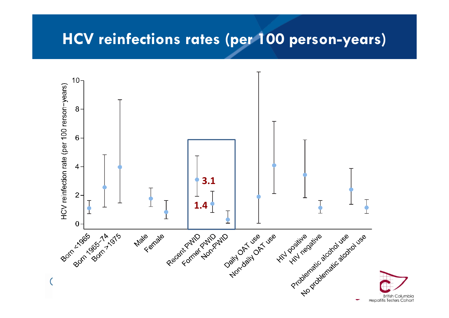### **HCV reinfections rates (per 100 person-years)**

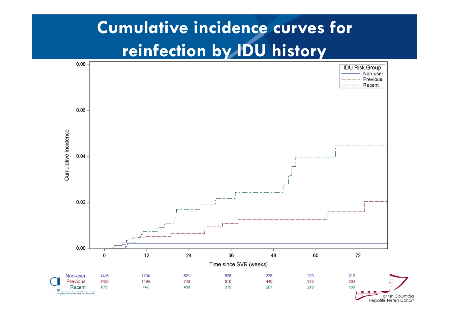# **Cumulative incidence curves for reinfection by IDU history**



**Hepatitis Testers Cohort**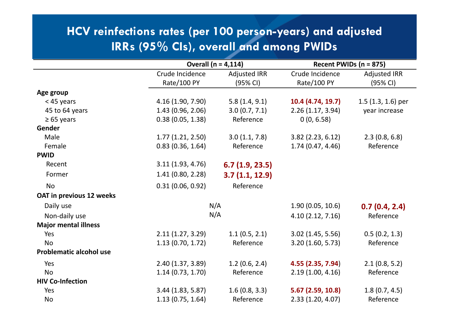#### **HCV reinfections rates (per 100 person-years) and adjusted IRRs (95% CIs), overall and among PWIDs**

|                                 |                   | Overall $(n = 4, 114)$ |                     | Recent PWIDs ( $n = 875$ ) |  |  |
|---------------------------------|-------------------|------------------------|---------------------|----------------------------|--|--|
|                                 | Crude Incidence   | <b>Adjusted IRR</b>    | Crude Incidence     | <b>Adjusted IRR</b>        |  |  |
|                                 | Rate/100 PY       | (95% CI)               | Rate/100 PY         | (95% CI)                   |  |  |
| Age group                       |                   |                        |                     |                            |  |  |
| < 45 years                      | 4.16 (1.90, 7.90) | 5.8(1.4, 9.1)          | 10.4 (4.74, 19.7)   | $1.5$ (1.3, 1.6) per       |  |  |
| 45 to 64 years                  | 1.43(0.96, 2.06)  | 3.0(0.7, 7.1)          | 2.26(1.17, 3.94)    | year increase              |  |  |
| $\geq 65$ years                 | 0.38(0.05, 1.38)  | Reference              | 0(0, 6.58)          |                            |  |  |
| Gender                          |                   |                        |                     |                            |  |  |
| Male                            | 1.77(1.21, 2.50)  | 3.0(1.1, 7.8)          | $3.82$ (2.23, 6.12) | 2.3(0.8, 6.8)              |  |  |
| Female                          | 0.83(0.36, 1.64)  | Reference              | 1.74(0.47, 4.46)    | Reference                  |  |  |
| <b>PWID</b>                     |                   |                        |                     |                            |  |  |
| Recent                          | 3.11(1.93, 4.76)  | 6.7(1.9, 23.5)         |                     |                            |  |  |
| Former                          | 1.41(0.80, 2.28)  | 3.7(1.1, 12.9)         |                     |                            |  |  |
| <b>No</b>                       | 0.31(0.06, 0.92)  | Reference              |                     |                            |  |  |
| <b>OAT in previous 12 weeks</b> |                   |                        |                     |                            |  |  |
| Daily use                       |                   | N/A                    | 1.90(0.05, 10.6)    | 0.7(0.4, 2.4)              |  |  |
| Non-daily use                   |                   | N/A                    | 4.10(2.12, 7.16)    | Reference                  |  |  |
| <b>Major mental illness</b>     |                   |                        |                     |                            |  |  |
| Yes                             | 2.11(1.27, 3.29)  | 1.1(0.5, 2.1)          | 3.02(1.45, 5.56)    | 0.5(0.2, 1.3)              |  |  |
| <b>No</b>                       | 1.13(0.70, 1.72)  | Reference              | 3.20(1.60, 5.73)    | Reference                  |  |  |
| <b>Problematic alcohol use</b>  |                   |                        |                     |                            |  |  |
| Yes                             | 2.40 (1.37, 3.89) | 1.2(0.6, 2.4)          | 4.55 (2.35, 7.94)   | 2.1(0.8, 5.2)              |  |  |
| <b>No</b>                       | 1.14(0.73, 1.70)  | Reference              | 2.19(1.00, 4.16)    | Reference                  |  |  |
| <b>HIV Co-Infection</b>         |                   |                        |                     |                            |  |  |
| Yes                             | 3.44(1.83, 5.87)  | 1.6(0.8, 3.3)          | 5.67(2.59, 10.8)    | 1.8(0.7, 4.5)              |  |  |
| <b>No</b>                       | 1.13(0.75, 1.64)  | Reference              | 2.33 (1.20, 4.07)   | Reference                  |  |  |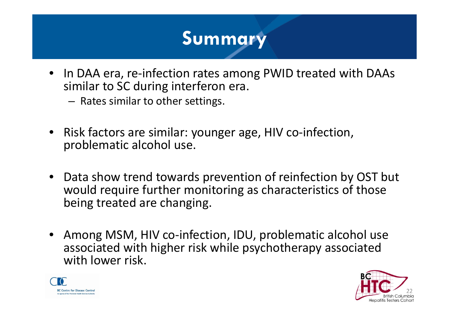# **Summary**

- •● In DAA era, re-infection rates among PWID treated with DAAs similar to SC during interferon era.
	- $-$  Rates similar to other settings.
- $\bullet$ ● Risk factors are similar: younger age, HIV co-infection, problematic alcohol use.
- $\bullet$ • Data show trend towards prevention of reinfection by OST but would require further monitoring as characteristics of those being treated are changing.
- $\bullet$  Among MSM, HIV co‐infection, IDU, problematic alcohol use associated with higher risk while psychotherapy associated with lower risk.



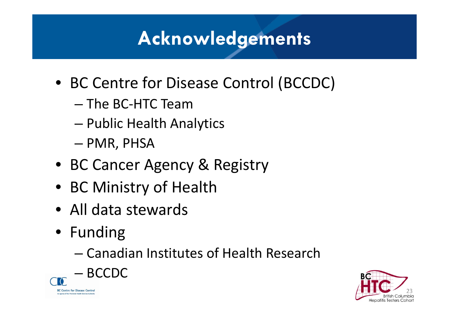# **Acknowledgements**

- BC Centre for Disease Control (BCCDC)
	- The BC ‐HTC Team
	- –Public Health Analytics
	- –— PMR, PHSA
- BC Cancer Agency & Registry
- BC Ministry of Health
- All data stewards
- Funding
	- Canadian Institutes of Health Research